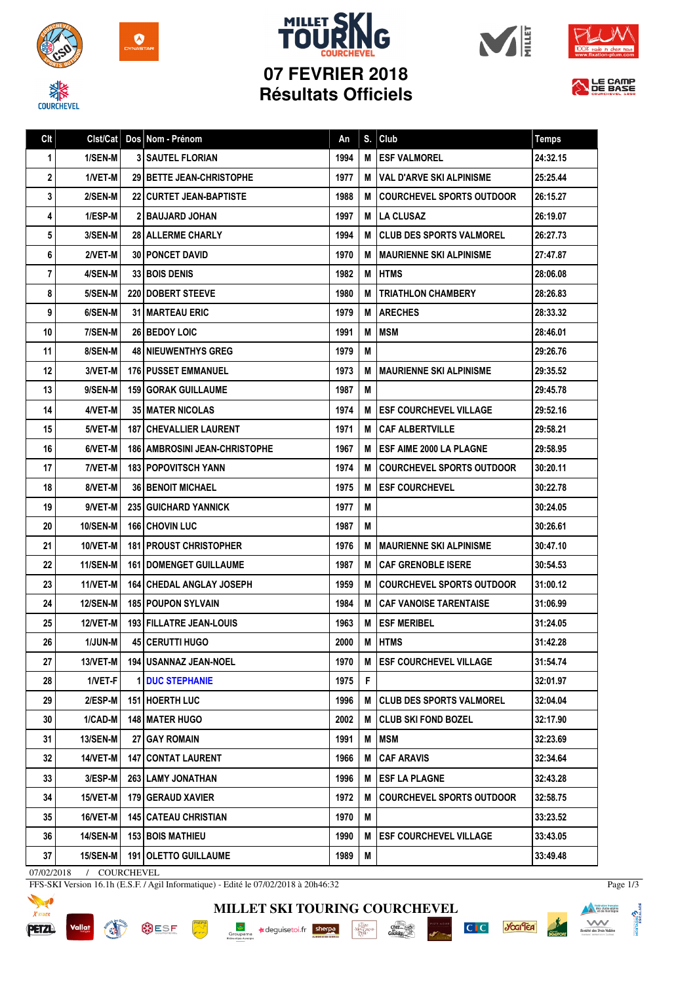

**COURCHEVEL** 



## **MILLET SK 07 FEVRIER 2018 Résultats Officiels**







| Clt |                 | Cist/Cat   Dos   Nom - Prénom          | An   | S. | Club                             | <b>Temps</b> |
|-----|-----------------|----------------------------------------|------|----|----------------------------------|--------------|
| 1   | 1/SEN-M         | <b>3   SAUTEL FLORIAN</b>              | 1994 | M  | <b>ESF VALMOREL</b>              | 24:32.15     |
| 2   | 1/VET-M         | <b>29 I BETTE JEAN-CHRISTOPHE</b>      | 1977 | М  | <b>VAL D'ARVE SKI ALPINISME</b>  | 25:25.44     |
| 3   | 2/SEN-M         | <b>22   CURTET JEAN-BAPTISTE</b>       | 1988 | М  | <b>COURCHEVEL SPORTS OUTDOOR</b> | 26:15.27     |
| 4   | 1/ESP-M         | <b>2 BAUJARD JOHAN</b>                 | 1997 | М  | <b>LA CLUSAZ</b>                 | 26:19.07     |
| 5   | 3/SEN-M         | 28 ALLERME CHARLY                      | 1994 | M  | <b>CLUB DES SPORTS VALMOREL</b>  | 26:27.73     |
| 6   | 2/VET-M         | <b>30   PONCET DAVID</b>               | 1970 | M  | <b>MAURIENNE SKI ALPINISME</b>   | 27:47.87     |
| 7   | 4/SEN-M         | <b>33 BOIS DENIS</b>                   | 1982 | M  | <b>HTMS</b>                      | 28:06.08     |
| 8   | 5/SEN-M         | <b>220 DOBERT STEEVE</b>               | 1980 | M  | <b>TRIATHLON CHAMBERY</b>        | 28:26.83     |
| 9   | 6/SEN-M         | <b>31 I MARTEAU ERIC</b>               | 1979 | M  | <b>ARECHES</b>                   | 28:33.32     |
| 10  | 7/SEN-M         | <b>26 BEDOY LOIC</b>                   | 1991 | M  | <b>MSM</b>                       | 28:46.01     |
| 11  | 8/SEN-M         | <b>48 NIEUWENTHYS GREG</b>             | 1979 | M  |                                  | 29:26.76     |
| 12  | 3/VET-M         | <b>176 PUSSET EMMANUEL</b>             | 1973 | M  | <b>IMAURIENNE SKI ALPINISME</b>  | 29:35.52     |
| 13  | 9/SEN-M         | <b>159 GORAK GUILLAUME</b>             | 1987 | M  |                                  | 29:45.78     |
| 14  | 4/VET-M         | <b>35 MATER NICOLAS</b>                | 1974 | M  | <b>ESF COURCHEVEL VILLAGE</b>    | 29:52.16     |
| 15  | 5/VET-M         | <b>187   CHEVALLIER LAURENT</b>        | 1971 | М  | <b>CAF ALBERTVILLE</b>           | 29:58.21     |
| 16  | 6/VET-M         | <b>186   AMBROSINI JEAN-CHRISTOPHE</b> | 1967 | M  | <b>ESF AIME 2000 LA PLAGNE</b>   | 29:58.95     |
| 17  | 7/VET-M         | <b>183 POPOVITSCH YANN</b>             | 1974 | M  | <b>COURCHEVEL SPORTS OUTDOOR</b> | 30:20.11     |
| 18  | 8/VET-M         | <b>36   BENOIT MICHAEL</b>             | 1975 | M  | <b>ESF COURCHEVEL</b>            | 30:22.78     |
| 19  | 9/VET-M         | <b>235 GUICHARD YANNICK</b>            | 1977 | M  |                                  | 30:24.05     |
| 20  | <b>10/SEN-M</b> | 166 CHOVIN LUC                         | 1987 | M  |                                  | 30:26.61     |
| 21  | 10/VET-M        | <b>181   PROUST CHRISTOPHER</b>        | 1976 | M  | <b>IMAURIENNE SKI ALPINISME</b>  | 30:47.10     |
| 22  | 11/SEN-M        | <b>161 I DOMENGET GUILLAUME</b>        | 1987 | M  | <b>CAF GRENOBLE ISERE</b>        | 30:54.53     |
| 23  | 11/VET-M        | <b>164   CHEDAL ANGLAY JOSEPH</b>      | 1959 | M  | <b>COURCHEVEL SPORTS OUTDOOR</b> | 31:00.12     |
| 24  | <b>12/SEN-M</b> | <b>185 POUPON SYLVAIN</b>              | 1984 | M  | <b>CAF VANOISE TARENTAISE</b>    | 31:06.99     |
| 25  | 12/VET-M        | 193 FILLATRE JEAN-LOUIS                | 1963 | M  | <b>ESF MERIBEL</b>               | 31:24.05     |
| 26  | 1/JUN-M         | 45 CERUTTI HUGO                        | 2000 | M  | <b>HTMS</b>                      | 31:42.28     |
| 27  | $13/NET-M$      | 194 USANNAZ JEAN-NOEL                  | 1970 | M  | <b>ESF COURCHEVEL VILLAGE</b>    | 31:54.74     |
| 28  | 1/VET-F         | <b>1 DUC STEPHANIE</b>                 | 1975 | F  |                                  | 32:01.97     |
| 29  | 2/ESP-M         | 151 HOERTH LUC                         | 1996 | М  | <b>CLUB DES SPORTS VALMOREL</b>  | 32:04.04     |
| 30  | 1/CAD-M         | <b>148   MATER HUGO</b>                | 2002 | M  | CLUB SKI FOND BOZEL              | 32:17.90     |
| 31  | <b>13/SEN-M</b> | 27 GAY ROMAIN                          | 1991 | M  | <b>MSM</b>                       | 32:23.69     |
| 32  | 14/VET-M        | <b>147   CONTAT LAURENT</b>            | 1966 | M  | <b>CAF ARAVIS</b>                | 32:34.64     |
| 33  | 3/ESP-M         | 263 LAMY JONATHAN                      | 1996 | M  | <b>ESF LA PLAGNE</b>             | 32:43.28     |
| 34  | 15/VET-M        | 179 GERAUD XAVIER                      | 1972 | M  | <b>COURCHEVEL SPORTS OUTDOOR</b> | 32:58.75     |
| 35  | 16/VET-M        | <b>145   CATEAU CHRISTIAN</b>          | 1970 | Μ  |                                  | 33:23.52     |
| 36  | <b>14/SEN-M</b> | <b>153 BOIS MATHIEU</b>                | 1990 | M  | <b>ESF COURCHEVEL VILLAGE</b>    | 33:43.05     |
| 37  | 15/SEN-M        | 191 OLETTO GUILLAUME                   | 1989 | M  |                                  | 33:49.48     |

07/02/2018 / COURCHEVEL

**Vallat** 

FFS-SKI Version 16.1h (E.S.F. / Agil Informatique) - Edité le 07/02/2018 à 20h46:32



**BUSF PARK ASSES** 

**MILLET SKI TOURING COURCHEVEL**  $\frac{\text{chez}}{\text{Cauchy}}$  $\begin{array}{c}\n\hline\n\text{I}_{\text{A}}\text{J}_{\text{A}}\text{BU} \\
\text{M2} \text{CAVD} \\
\text{PERI}\n\end{array}$ 

Groupama **a**deguisetoi.fr **sherpa** 

C<sub>IC</sub> you'lea



Page 1/3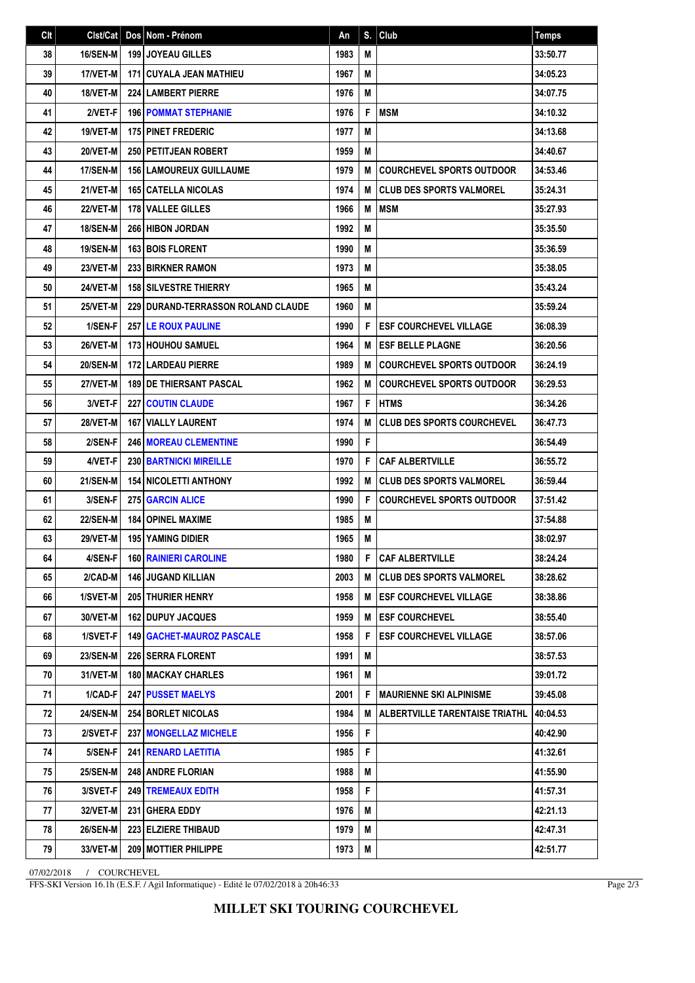| Clt | Clst/Cat        | Dos Nom - Prénom                   | An   | S. | $ $ Club                            | <b>Temps</b> |
|-----|-----------------|------------------------------------|------|----|-------------------------------------|--------------|
| 38  | 16/SEN-M        | <b>199 JOYEAU GILLES</b>           | 1983 | M  |                                     | 33:50.77     |
| 39  | 17/VET-M        | <b>171 CUYALA JEAN MATHIEU</b>     | 1967 | M  |                                     | 34:05.23     |
| 40  | 18/VET-M        | <b>224 LAMBERT PIERRE</b>          | 1976 | M  |                                     | 34:07.75     |
| 41  | 2/VET-F         | <b>196 POMMAT STEPHANIE</b>        | 1976 | F  | <b>IMSM</b>                         | 34:10.32     |
| 42  | 19/VET-M        | <b>175 PINET FREDERIC</b>          | 1977 | M  |                                     | 34:13.68     |
| 43  | 20/VET-M        | <b>250 PETITJEAN ROBERT</b>        | 1959 | M  |                                     | 34:40.67     |
| 44  | 17/SEN-M        | <b>156 LAMOUREUX GUILLAUME</b>     | 1979 | M  | <b>COURCHEVEL SPORTS OUTDOOR</b>    | 34:53.46     |
| 45  | 21/VET-M        | <b>165 CATELLA NICOLAS</b>         | 1974 | M  | I CLUB DES SPORTS VALMOREL          | 35:24.31     |
| 46  | 22/VET-M        | <b>178 VALLEE GILLES</b>           | 1966 | M  | <b>MSM</b>                          | 35:27.93     |
| 47  | <b>18/SEN-M</b> | 266 HIBON JORDAN                   | 1992 | M  |                                     | 35:35.50     |
| 48  | <b>19/SEN-M</b> | <b>163 BOIS FLORENT</b>            | 1990 | M  |                                     | 35:36.59     |
| 49  | 23/VET-M        | 233 BIRKNER RAMON                  | 1973 | M  |                                     | 35:38.05     |
| 50  | <b>24/VET-M</b> | <b>158 SILVESTRE THIERRY</b>       | 1965 | M  |                                     | 35:43.24     |
| 51  | 25/VET-M        | 229 DURAND-TERRASSON ROLAND CLAUDE | 1960 | M  |                                     | 35:59.24     |
| 52  | 1/SEN-F         | <b>257 LE ROUX PAULINE</b>         | 1990 | F  | <b>ESF COURCHEVEL VILLAGE</b>       | 36:08.39     |
| 53  | 26/VET-M        | <b>173 HOUHOU SAMUEL</b>           | 1964 | M  | <b>ESF BELLE PLAGNE</b>             | 36:20.56     |
| 54  | <b>20/SEN-M</b> | <b>172 LARDEAU PIERRE</b>          | 1989 | M  | <b>COURCHEVEL SPORTS OUTDOOR</b>    | 36:24.19     |
| 55  | 27/VET-M        | <b>189 DE THIERSANT PASCAL</b>     | 1962 | M  | <b>COURCHEVEL SPORTS OUTDOOR</b>    | 36:29.53     |
| 56  | 3/VET-F         | <b>227 COUTIN CLAUDE</b>           | 1967 | F  | <b>HTMS</b>                         | 36:34.26     |
| 57  | 28/VET-M        | <b>167   VIALLY LAURENT</b>        | 1974 | M  | <b>CLUB DES SPORTS COURCHEVEL</b>   | 36:47.73     |
| 58  | 2/SEN-F         | 246 MOREAU CLEMENTINE              | 1990 | F  |                                     | 36:54.49     |
| 59  | 4/VET-F         | <b>230 BARTNICKI MIREILLE</b>      | 1970 | F  | <b>CAF ALBERTVILLE</b>              | 36:55.72     |
| 60  | <b>21/SEN-M</b> | <b>154 NICOLETTI ANTHONY</b>       | 1992 | M  | I CLUB DES SPORTS VALMOREL          | 36:59.44     |
| 61  | 3/SEN-F         | <b>275 GARCIN ALICE</b>            | 1990 | F  | <b>COURCHEVEL SPORTS OUTDOOR</b>    | 37:51.42     |
| 62  | <b>22/SEN-M</b> | <b>184 OPINEL MAXIME</b>           | 1985 | M  |                                     | 37:54.88     |
| 63  | 29/VET-M        | <b>195 YAMING DIDIER</b>           | 1965 | M  |                                     | 38:02.97     |
| 64  | 4/SEN-F         | <b>160 RAINIERI CAROLINE</b>       | 1980 | F. | <b>CAF ALBERTVILLE</b>              | 38:24.24     |
| 65  | 2/CAD-M         | 146 JUGAND KILLIAN                 | 2003 |    | <b>M   CLUB DES SPORTS VALMOREL</b> | 38:28.62     |
| 66  | 1/SVET-M        | <b>205   THURIER HENRY</b>         | 1958 | М  | <b>ESF COURCHEVEL VILLAGE</b>       | 38:38.86     |
| 67  | 30/VET-M        | 162 DUPUY JACQUES                  | 1959 | М  | <b>IESF COURCHEVEL</b>              | 38:55.40     |
| 68  | 1/SVET-F        | <b>149   GACHET-MAUROZ PASCALE</b> | 1958 | F  | <b>ESF COURCHEVEL VILLAGE</b>       | 38:57.06     |
| 69  | <b>23/SEN-M</b> | <b>226   SERRA FLORENT</b>         | 1991 | M  |                                     | 38:57.53     |
| 70  | 31/VET-M        | <b>180   MACKAY CHARLES</b>        | 1961 | M  |                                     | 39:01.72     |
| 71  | 1/CAD-F         | 247 PUSSET MAELYS                  | 2001 | F  | <b>MAURIENNE SKI ALPINISME</b>      | 39:45.08     |
| 72  | <b>24/SEN-M</b> | <b>254 BORLET NICOLAS</b>          | 1984 | M  | ALBERTVILLE TARENTAISE TRIATHL      | 40:04.53     |
| 73  | 2/SVET-F        | 237   MONGELLAZ MICHELE            | 1956 | F. |                                     | 40:42.90     |
| 74  | 5/SEN-F         | 241 RENARD LAETITIA                | 1985 | F. |                                     | 41:32.61     |
| 75  | <b>25/SEN-M</b> | 248 ANDRE FLORIAN                  | 1988 | M  |                                     | 41:55.90     |
| 76  | 3/SVET-F        | <b>249 TREMEAUX EDITH</b>          | 1958 | F. |                                     | 41:57.31     |
| 77  | 32/VET-M        | 231 GHERA EDDY                     | 1976 | M  |                                     | 42:21.13     |
| 78  | <b>26/SEN-M</b> | 223 ELZIERE THIBAUD                | 1979 | М  |                                     | 42:47.31     |
| 79  | 33/VET-M        | 209 MOTTIER PHILIPPE               | 1973 | M  |                                     | 42:51.77     |

07/02/2018 / COURCHEVEL

FFS-SKI Version 16.1h (E.S.F. / Agil Informatique) - Edité le 07/02/2018 à 20h46:33

Page 2/3